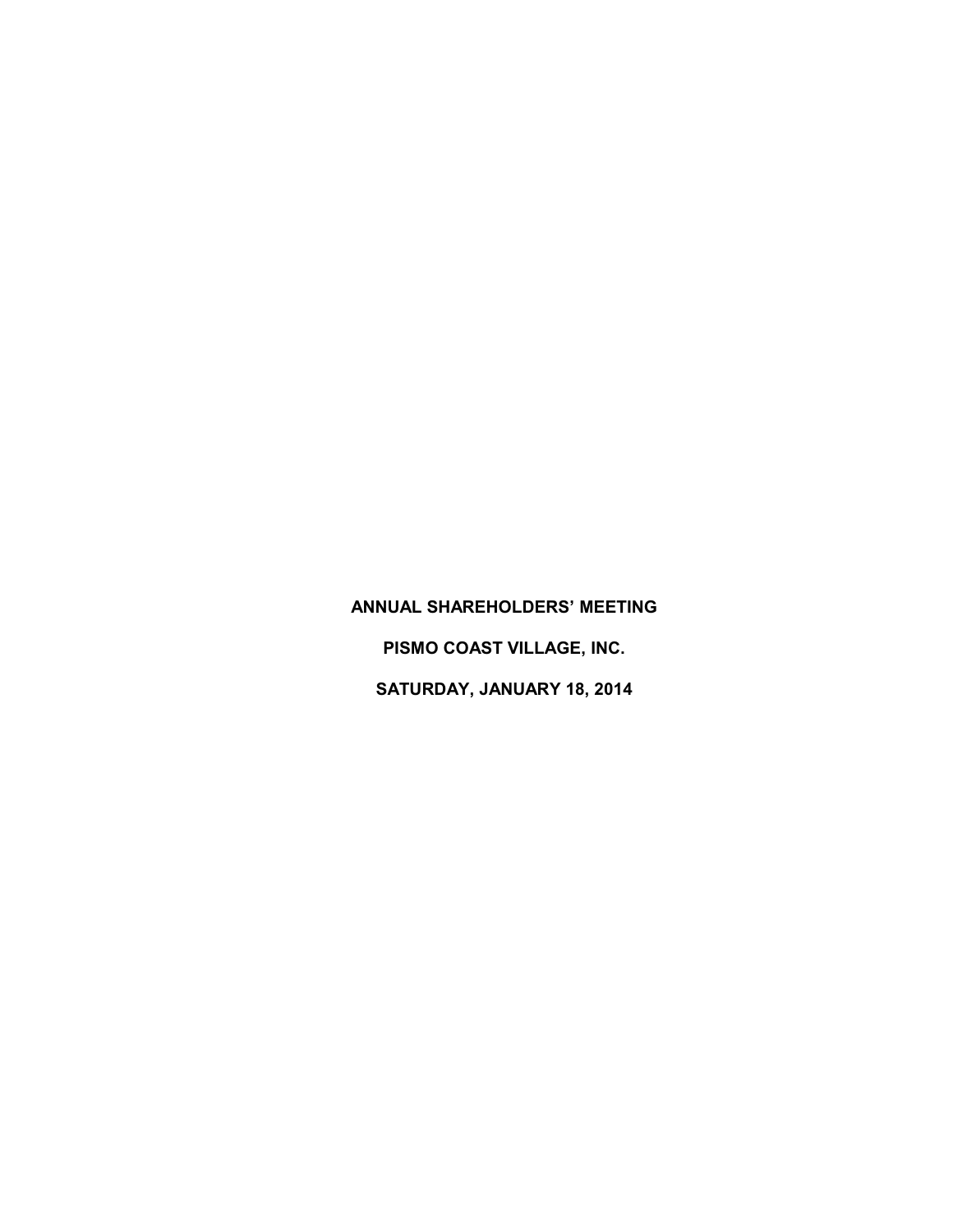**ANNUAL SHAREHOLDERS' MEETING PISMO COAST VILLAGE, INC. SATURDAY, JANUARY 18, 2014**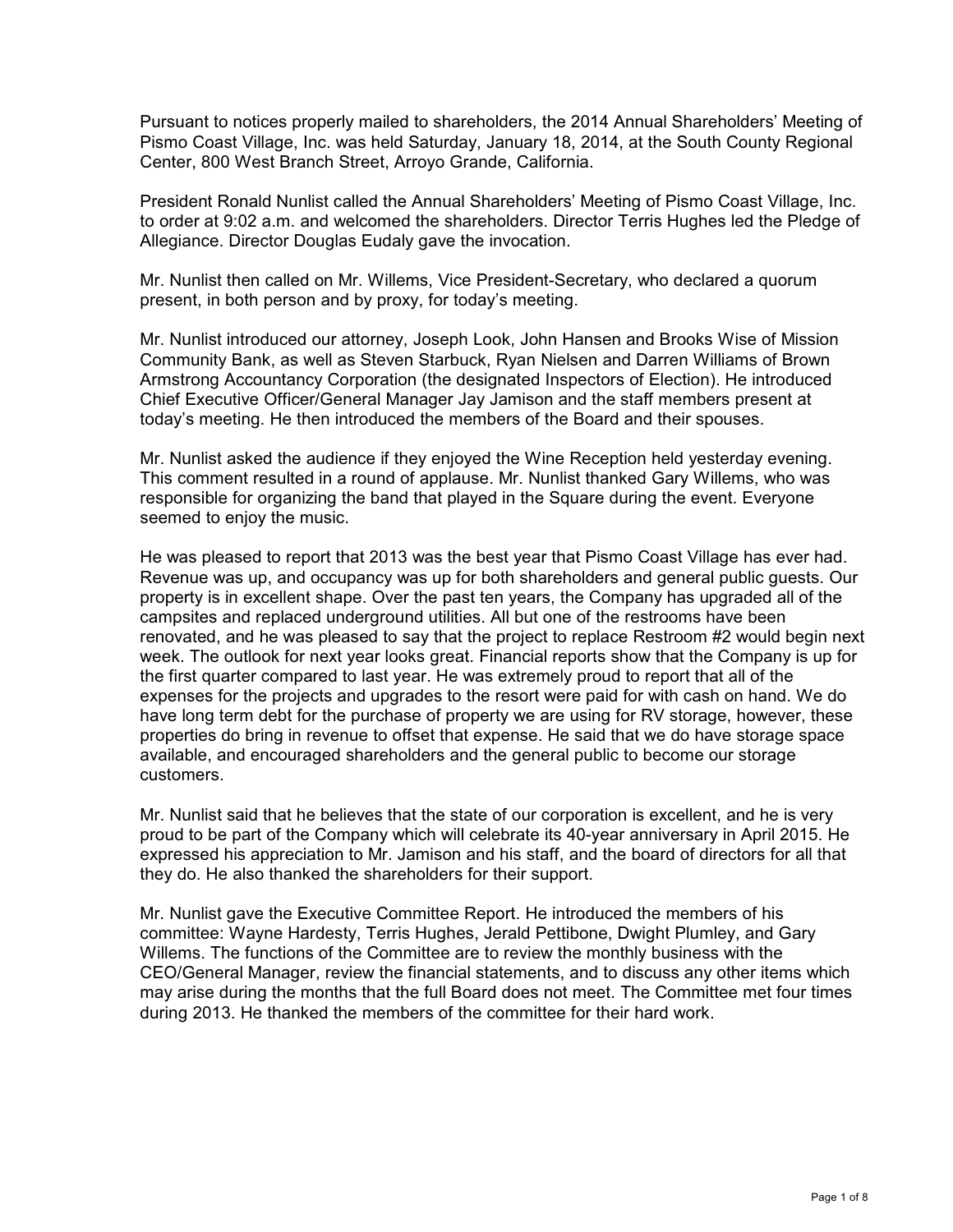Pursuant to notices properly mailed to shareholders, the 2014 Annual Shareholders' Meeting of Pismo Coast Village, Inc. was held Saturday, January 18, 2014, at the South County Regional Center, 800 West Branch Street, Arroyo Grande, California.

President Ronald Nunlist called the Annual Shareholders' Meeting of Pismo Coast Village, Inc. to order at 9:02 a.m. and welcomed the shareholders. Director Terris Hughes led the Pledge of Allegiance. Director Douglas Eudaly gave the invocation.

Mr. Nunlist then called on Mr. Willems, Vice President-Secretary, who declared a quorum present, in both person and by proxy, for today's meeting.

Mr. Nunlist introduced our attorney, Joseph Look, John Hansen and Brooks Wise of Mission Community Bank, as well as Steven Starbuck, Ryan Nielsen and Darren Williams of Brown Armstrong Accountancy Corporation (the designated Inspectors of Election). He introduced Chief Executive Officer/General Manager Jay Jamison and the staff members present at today's meeting. He then introduced the members of the Board and their spouses.

Mr. Nunlist asked the audience if they enjoyed the Wine Reception held yesterday evening. This comment resulted in a round of applause. Mr. Nunlist thanked Gary Willems, who was responsible for organizing the band that played in the Square during the event. Everyone seemed to enjoy the music.

He was pleased to report that 2013 was the best year that Pismo Coast Village has ever had. Revenue was up, and occupancy was up for both shareholders and general public guests. Our property is in excellent shape. Over the past ten years, the Company has upgraded all of the campsites and replaced underground utilities. All but one of the restrooms have been renovated, and he was pleased to say that the project to replace Restroom #2 would begin next week. The outlook for next year looks great. Financial reports show that the Company is up for the first quarter compared to last year. He was extremely proud to report that all of the expenses for the projects and upgrades to the resort were paid for with cash on hand. We do have long term debt for the purchase of property we are using for RV storage, however, these properties do bring in revenue to offset that expense. He said that we do have storage space available, and encouraged shareholders and the general public to become our storage customers.

Mr. Nunlist said that he believes that the state of our corporation is excellent, and he is very proud to be part of the Company which will celebrate its 40-year anniversary in April 2015. He expressed his appreciation to Mr. Jamison and his staff, and the board of directors for all that they do. He also thanked the shareholders for their support.

Mr. Nunlist gave the Executive Committee Report. He introduced the members of his committee: Wayne Hardesty, Terris Hughes, Jerald Pettibone, Dwight Plumley, and Gary Willems. The functions of the Committee are to review the monthly business with the CEO/General Manager, review the financial statements, and to discuss any other items which may arise during the months that the full Board does not meet. The Committee met four times during 2013. He thanked the members of the committee for their hard work.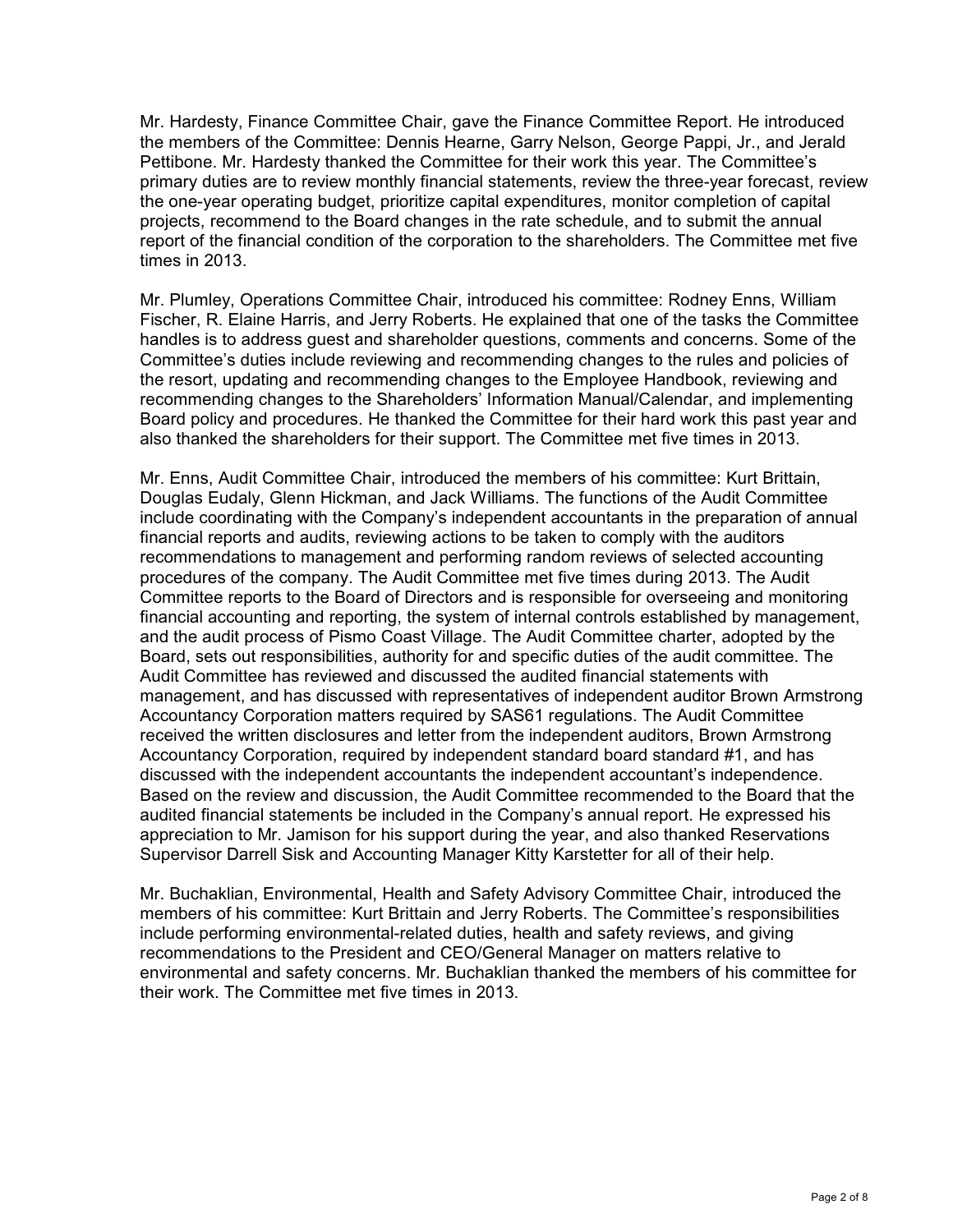Mr. Hardesty, Finance Committee Chair, gave the Finance Committee Report. He introduced the members of the Committee: Dennis Hearne, Garry Nelson, George Pappi, Jr., and Jerald Pettibone. Mr. Hardesty thanked the Committee for their work this year. The Committee's primary duties are to review monthly financial statements, review the three-year forecast, review the one-year operating budget, prioritize capital expenditures, monitor completion of capital projects, recommend to the Board changes in the rate schedule, and to submit the annual report of the financial condition of the corporation to the shareholders. The Committee met five times in 2013.

Mr. Plumley, Operations Committee Chair, introduced his committee: Rodney Enns, William Fischer, R. Elaine Harris, and Jerry Roberts. He explained that one of the tasks the Committee handles is to address guest and shareholder questions, comments and concerns. Some of the Committee's duties include reviewing and recommending changes to the rules and policies of the resort, updating and recommending changes to the Employee Handbook, reviewing and recommending changes to the Shareholders' Information Manual/Calendar, and implementing Board policy and procedures. He thanked the Committee for their hard work this past year and also thanked the shareholders for their support. The Committee met five times in 2013.

Mr. Enns, Audit Committee Chair, introduced the members of his committee: Kurt Brittain, Douglas Eudaly, Glenn Hickman, and Jack Williams. The functions of the Audit Committee include coordinating with the Company's independent accountants in the preparation of annual financial reports and audits, reviewing actions to be taken to comply with the auditors recommendations to management and performing random reviews of selected accounting procedures of the company. The Audit Committee met five times during 2013. The Audit Committee reports to the Board of Directors and is responsible for overseeing and monitoring financial accounting and reporting, the system of internal controls established by management, and the audit process of Pismo Coast Village. The Audit Committee charter, adopted by the Board, sets out responsibilities, authority for and specific duties of the audit committee. The Audit Committee has reviewed and discussed the audited financial statements with management, and has discussed with representatives of independent auditor Brown Armstrong Accountancy Corporation matters required by SAS61 regulations. The Audit Committee received the written disclosures and letter from the independent auditors, Brown Armstrong Accountancy Corporation, required by independent standard board standard #1, and has discussed with the independent accountants the independent accountant's independence. Based on the review and discussion, the Audit Committee recommended to the Board that the audited financial statements be included in the Company's annual report. He expressed his appreciation to Mr. Jamison for his support during the year, and also thanked Reservations Supervisor Darrell Sisk and Accounting Manager Kitty Karstetter for all of their help.

Mr. Buchaklian, Environmental, Health and Safety Advisory Committee Chair, introduced the members of his committee: Kurt Brittain and Jerry Roberts. The Committee's responsibilities include performing environmental-related duties, health and safety reviews, and giving recommendations to the President and CEO/General Manager on matters relative to environmental and safety concerns. Mr. Buchaklian thanked the members of his committee for their work. The Committee met five times in 2013.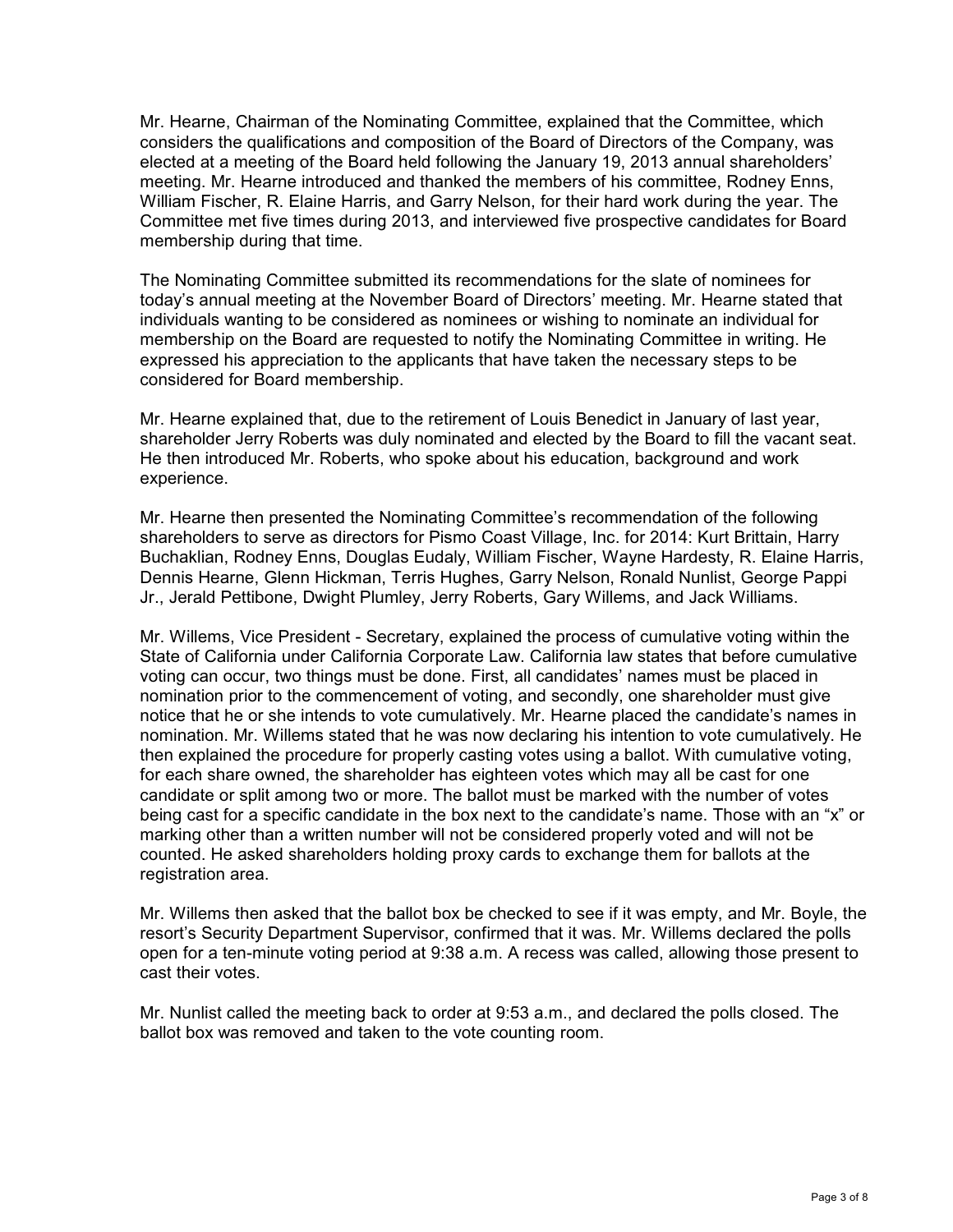Mr. Hearne, Chairman of the Nominating Committee, explained that the Committee, which considers the qualifications and composition of the Board of Directors of the Company, was elected at a meeting of the Board held following the January 19, 2013 annual shareholders' meeting. Mr. Hearne introduced and thanked the members of his committee, Rodney Enns, William Fischer, R. Elaine Harris, and Garry Nelson, for their hard work during the year. The Committee met five times during 2013, and interviewed five prospective candidates for Board membership during that time.

The Nominating Committee submitted its recommendations for the slate of nominees for today's annual meeting at the November Board of Directors' meeting. Mr. Hearne stated that individuals wanting to be considered as nominees or wishing to nominate an individual for membership on the Board are requested to notify the Nominating Committee in writing. He expressed his appreciation to the applicants that have taken the necessary steps to be considered for Board membership.

Mr. Hearne explained that, due to the retirement of Louis Benedict in January of last year, shareholder Jerry Roberts was duly nominated and elected by the Board to fill the vacant seat. He then introduced Mr. Roberts, who spoke about his education, background and work experience.

Mr. Hearne then presented the Nominating Committee's recommendation of the following shareholders to serve as directors for Pismo Coast Village, Inc. for 2014: Kurt Brittain, Harry Buchaklian, Rodney Enns, Douglas Eudaly, William Fischer, Wayne Hardesty, R. Elaine Harris, Dennis Hearne, Glenn Hickman, Terris Hughes, Garry Nelson, Ronald Nunlist, George Pappi Jr., Jerald Pettibone, Dwight Plumley, Jerry Roberts, Gary Willems, and Jack Williams.

Mr. Willems, Vice President - Secretary, explained the process of cumulative voting within the State of California under California Corporate Law. California law states that before cumulative voting can occur, two things must be done. First, all candidates' names must be placed in nomination prior to the commencement of voting, and secondly, one shareholder must give notice that he or she intends to vote cumulatively. Mr. Hearne placed the candidate's names in nomination. Mr. Willems stated that he was now declaring his intention to vote cumulatively. He then explained the procedure for properly casting votes using a ballot. With cumulative voting, for each share owned, the shareholder has eighteen votes which may all be cast for one candidate or split among two or more. The ballot must be marked with the number of votes being cast for a specific candidate in the box next to the candidate's name. Those with an "x" or marking other than a written number will not be considered properly voted and will not be counted. He asked shareholders holding proxy cards to exchange them for ballots at the registration area.

Mr. Willems then asked that the ballot box be checked to see if it was empty, and Mr. Boyle, the resort's Security Department Supervisor, confirmed that it was. Mr. Willems declared the polls open for a ten-minute voting period at 9:38 a.m. A recess was called, allowing those present to cast their votes.

Mr. Nunlist called the meeting back to order at 9:53 a.m., and declared the polls closed. The ballot box was removed and taken to the vote counting room.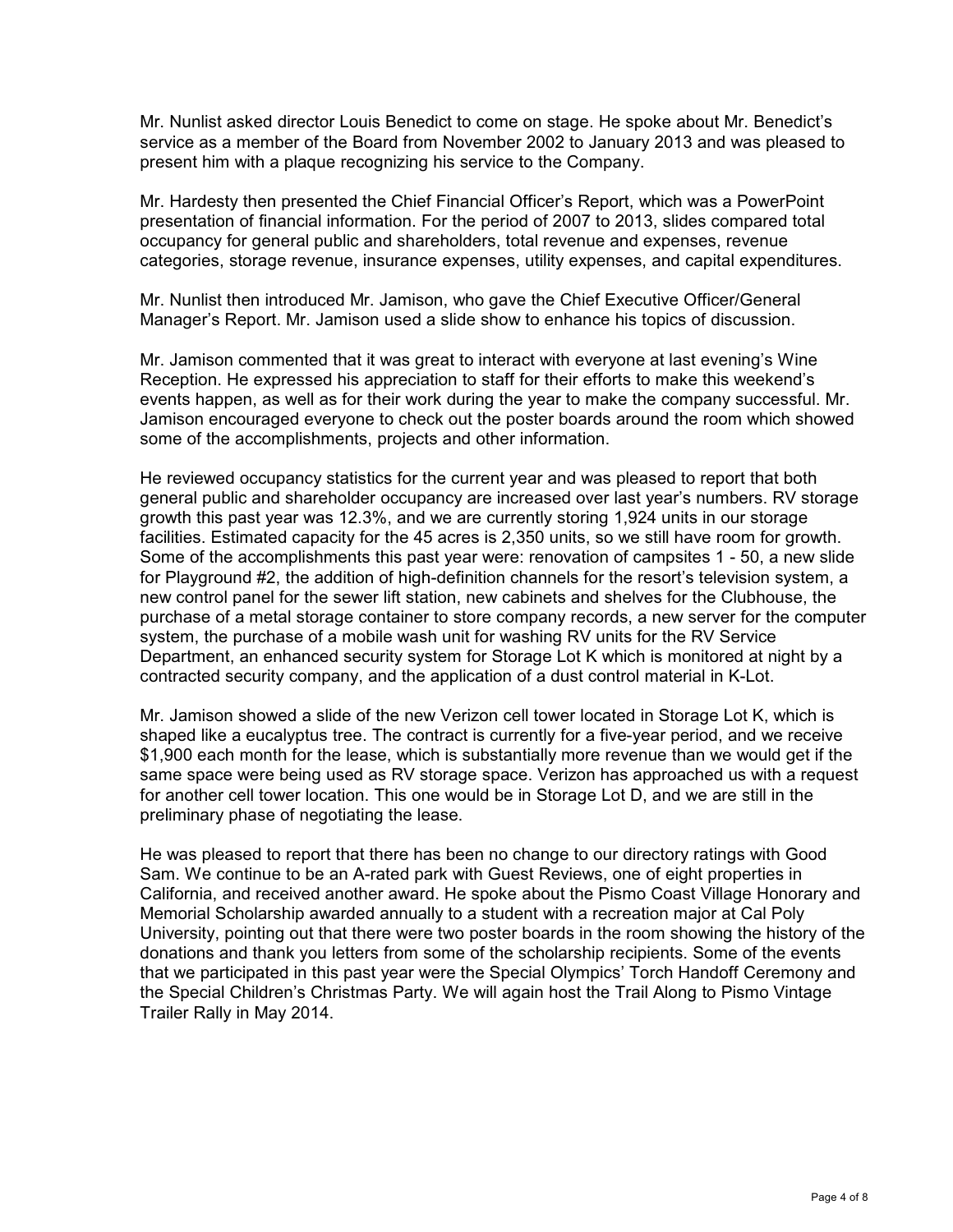Mr. Nunlist asked director Louis Benedict to come on stage. He spoke about Mr. Benedict's service as a member of the Board from November 2002 to January 2013 and was pleased to present him with a plaque recognizing his service to the Company.

Mr. Hardesty then presented the Chief Financial Officer's Report, which was a PowerPoint presentation of financial information. For the period of 2007 to 2013, slides compared total occupancy for general public and shareholders, total revenue and expenses, revenue categories, storage revenue, insurance expenses, utility expenses, and capital expenditures.

Mr. Nunlist then introduced Mr. Jamison, who gave the Chief Executive Officer/General Manager's Report. Mr. Jamison used a slide show to enhance his topics of discussion.

Mr. Jamison commented that it was great to interact with everyone at last evening's Wine Reception. He expressed his appreciation to staff for their efforts to make this weekend's events happen, as well as for their work during the year to make the company successful. Mr. Jamison encouraged everyone to check out the poster boards around the room which showed some of the accomplishments, projects and other information.

He reviewed occupancy statistics for the current year and was pleased to report that both general public and shareholder occupancy are increased over last year's numbers. RV storage growth this past year was 12.3%, and we are currently storing 1,924 units in our storage facilities. Estimated capacity for the 45 acres is 2,350 units, so we still have room for growth. Some of the accomplishments this past year were: renovation of campsites 1 - 50, a new slide for Playground #2, the addition of high-definition channels for the resort's television system, a new control panel for the sewer lift station, new cabinets and shelves for the Clubhouse, the purchase of a metal storage container to store company records, a new server for the computer system, the purchase of a mobile wash unit for washing RV units for the RV Service Department, an enhanced security system for Storage Lot K which is monitored at night by a contracted security company, and the application of a dust control material in K-Lot.

Mr. Jamison showed a slide of the new Verizon cell tower located in Storage Lot K, which is shaped like a eucalyptus tree. The contract is currently for a five-year period, and we receive \$1,900 each month for the lease, which is substantially more revenue than we would get if the same space were being used as RV storage space. Verizon has approached us with a request for another cell tower location. This one would be in Storage Lot D, and we are still in the preliminary phase of negotiating the lease.

He was pleased to report that there has been no change to our directory ratings with Good Sam. We continue to be an A-rated park with Guest Reviews, one of eight properties in California, and received another award. He spoke about the Pismo Coast Village Honorary and Memorial Scholarship awarded annually to a student with a recreation major at Cal Poly University, pointing out that there were two poster boards in the room showing the history of the donations and thank you letters from some of the scholarship recipients. Some of the events that we participated in this past year were the Special Olympics' Torch Handoff Ceremony and the Special Children's Christmas Party. We will again host the Trail Along to Pismo Vintage Trailer Rally in May 2014.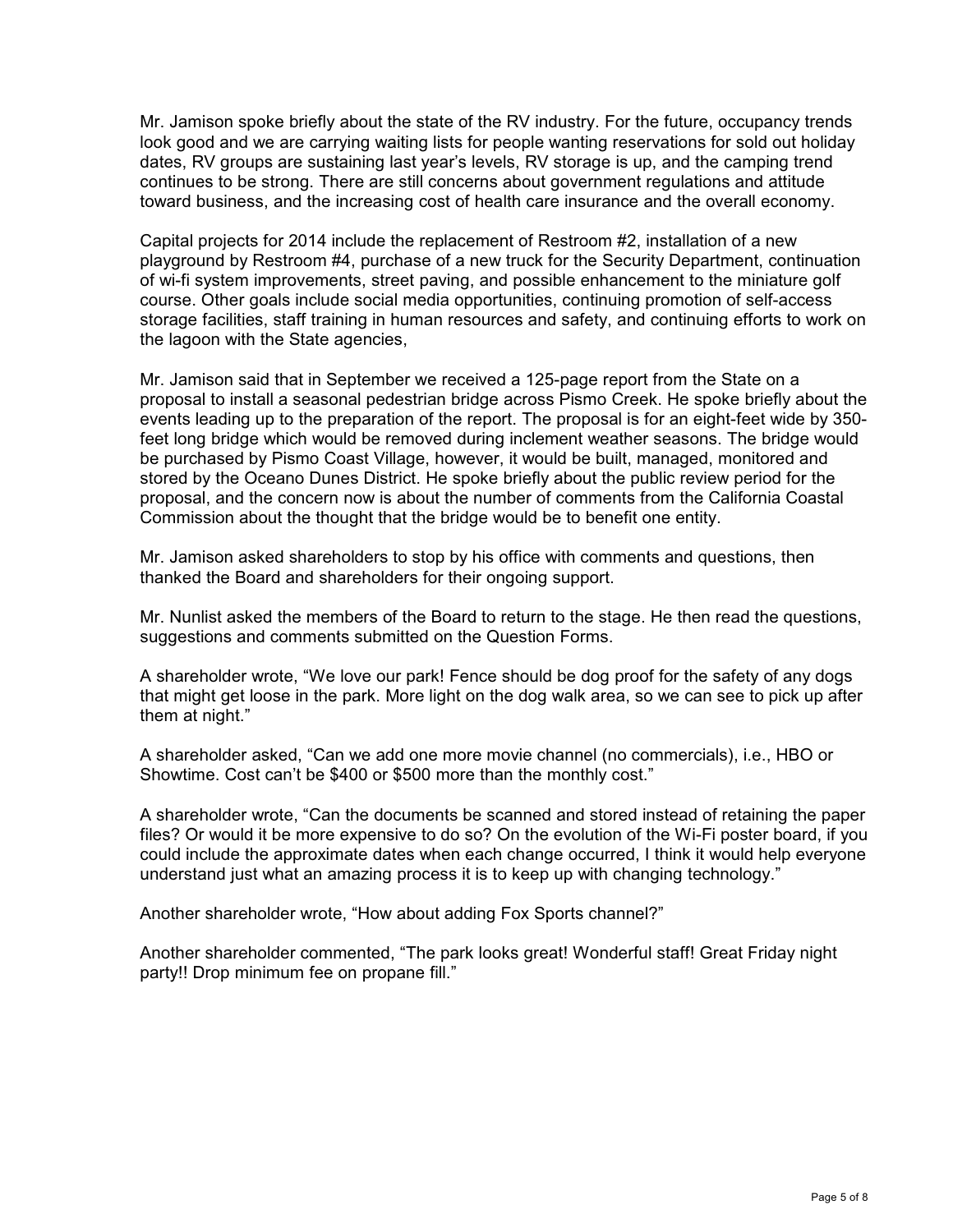Mr. Jamison spoke briefly about the state of the RV industry. For the future, occupancy trends look good and we are carrying waiting lists for people wanting reservations for sold out holiday dates, RV groups are sustaining last year's levels, RV storage is up, and the camping trend continues to be strong. There are still concerns about government regulations and attitude toward business, and the increasing cost of health care insurance and the overall economy.

Capital projects for 2014 include the replacement of Restroom #2, installation of a new playground by Restroom #4, purchase of a new truck for the Security Department, continuation of wi-fi system improvements, street paving, and possible enhancement to the miniature golf course. Other goals include social media opportunities, continuing promotion of self-access storage facilities, staff training in human resources and safety, and continuing efforts to work on the lagoon with the State agencies,

Mr. Jamison said that in September we received a 125-page report from the State on a proposal to install a seasonal pedestrian bridge across Pismo Creek. He spoke briefly about the events leading up to the preparation of the report. The proposal is for an eight-feet wide by 350 feet long bridge which would be removed during inclement weather seasons. The bridge would be purchased by Pismo Coast Village, however, it would be built, managed, monitored and stored by the Oceano Dunes District. He spoke briefly about the public review period for the proposal, and the concern now is about the number of comments from the California Coastal Commission about the thought that the bridge would be to benefit one entity.

Mr. Jamison asked shareholders to stop by his office with comments and questions, then thanked the Board and shareholders for their ongoing support.

Mr. Nunlist asked the members of the Board to return to the stage. He then read the questions, suggestions and comments submitted on the Question Forms.

A shareholder wrote, "We love our park! Fence should be dog proof for the safety of any dogs that might get loose in the park. More light on the dog walk area, so we can see to pick up after them at night."

A shareholder asked, "Can we add one more movie channel (no commercials), i.e., HBO or Showtime. Cost can't be \$400 or \$500 more than the monthly cost."

A shareholder wrote, "Can the documents be scanned and stored instead of retaining the paper files? Or would it be more expensive to do so? On the evolution of the Wi-Fi poster board, if you could include the approximate dates when each change occurred, I think it would help everyone understand just what an amazing process it is to keep up with changing technology."

Another shareholder wrote, "How about adding Fox Sports channel?"

Another shareholder commented, "The park looks great! Wonderful staff! Great Friday night party!! Drop minimum fee on propane fill."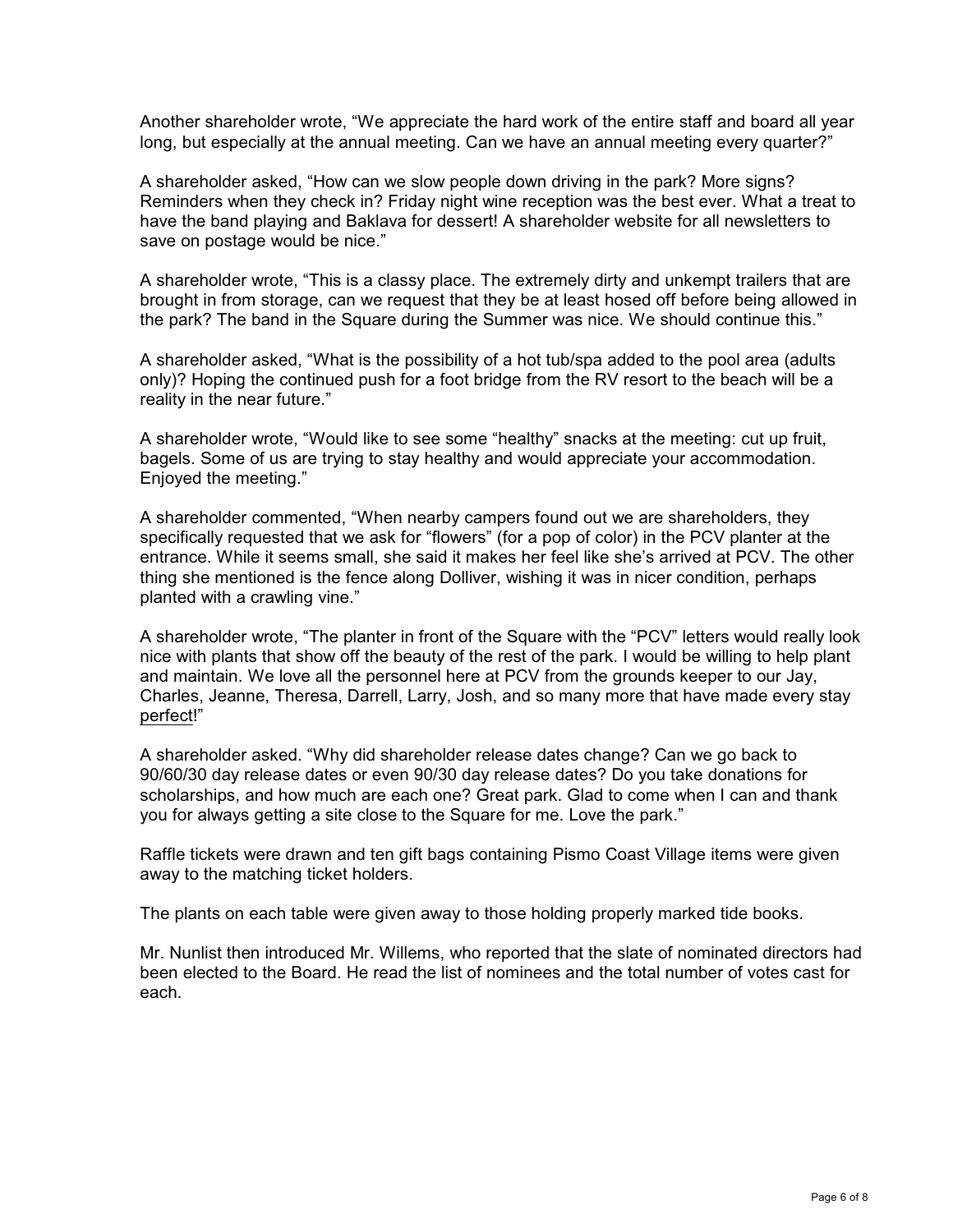Another shareholder wrote, "We appreciate the hard work of the entire staff and board all year long, but especially at the annual meeting. Can we have an annual meeting every quarter?"

A shareholder asked, "How can we slow people down driving in the park? More signs? Reminders when they check in? Friday night wine reception was the best ever. What a treat to have the band playing and Baklava for dessert! A shareholder website for all newsletters to save on postage would be nice."

A shareholder wrote, "This is a classy place. The extremely dirty and unkempt trailers that are brought in from storage, can we request that they be at least hosed off before being allowed in the park? The band in the Square during the Summer was nice. We should continue this."

A shareholder asked, "What is the possibility of a hot tub/spa added to the pool area (adults only)? Hoping the continued push for a foot bridge from the RV resort to the beach will be a reality in the near future."

A shareholder wrote, "Would like to see some "healthy" snacks at the meeting: cut up fruit, bagels. Some of us are trying to stay healthy and would appreciate your accommodation. Enjoyed the meeting."

A shareholder commented, "When nearby campers found out we are shareholders, they specifically requested that we ask for "flowers" (for a pop of color) in the PCV planter at the entrance. While it seems small, she said it makes her feel like she's arrived at PCV. The other thing she mentioned is the fence along Dolliver, wishing it was in nicer condition, perhaps planted with a crawling vine."

A shareholder wrote, "The planter in front of the Square with the "PCV" letters would really look nice with plants that show off the beauty of the rest of the park. I would be willing to help plant and maintain. We love all the personnel here at PCV from the grounds keeper to our Jay, Charles, Jeanne, Theresa, Darrell, Larry, Josh, and so many more that have made every stay perfect!"

A shareholder asked. "Why did shareholder release dates change? Can we go back to 90/60/30 day release dates or even 90/30 day release dates? Do you take donations for scholarships, and how much are each one? Great park. Glad to come when I can and thank you for always getting a site close to the Square for me. Love the park."

Raffle tickets were drawn and ten gift bags containing Pismo Coast Village items were given away to the matching ticket holders.

The plants on each table were given away to those holding properly marked tide books.

Mr. Nunlist then introduced Mr. Willems, who reported that the slate of nominated directors had been elected to the Board. He read the list of nominees and the total number of votes cast for each.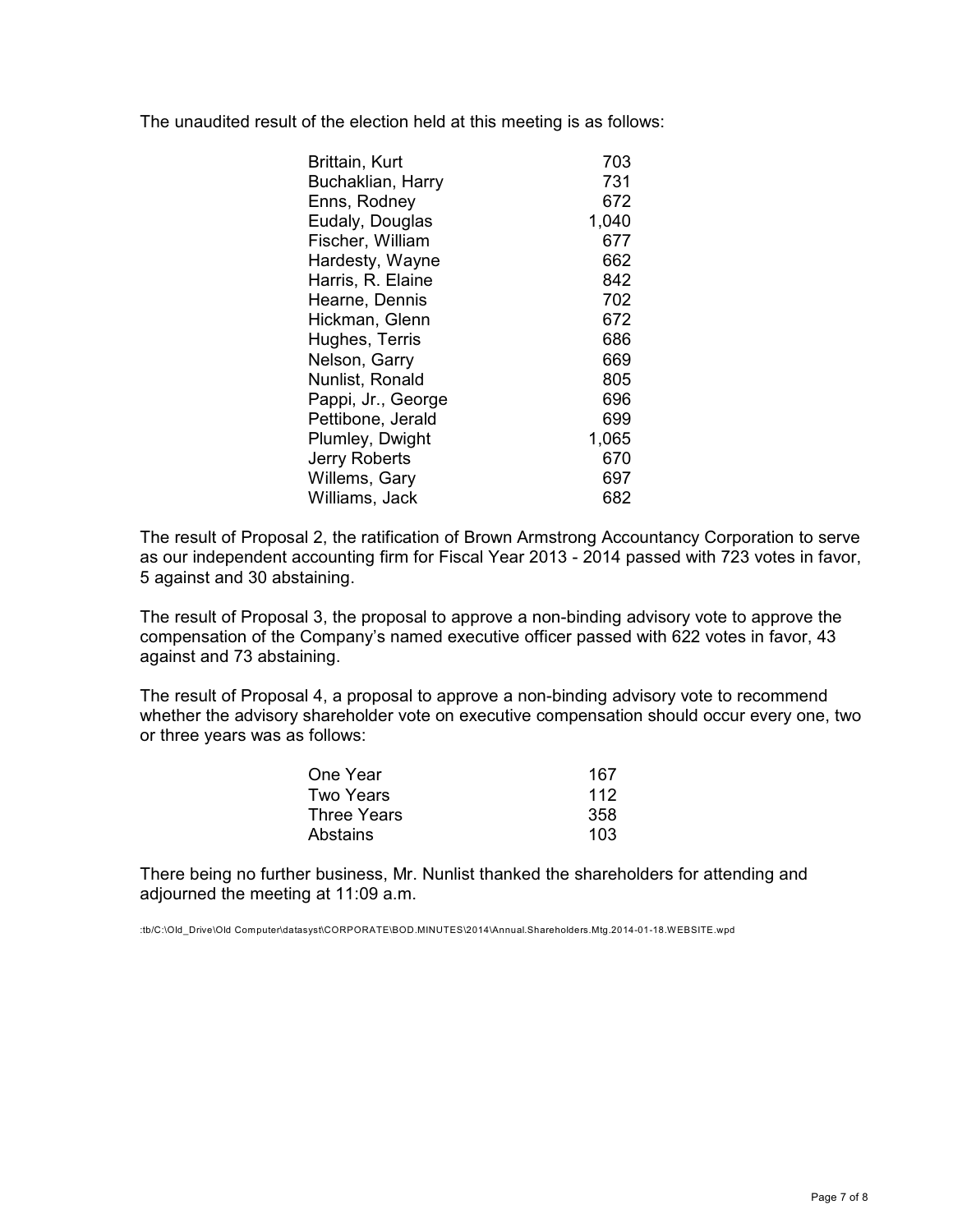The unaudited result of the election held at this meeting is as follows:

| Brittain, Kurt       | 703   |
|----------------------|-------|
| Buchaklian, Harry    | 731   |
| Enns, Rodney         | 672   |
| Eudaly, Douglas      | 1,040 |
| Fischer, William     | 677   |
| Hardesty, Wayne      | 662   |
| Harris, R. Elaine    | 842   |
| Hearne, Dennis       | 702   |
| Hickman, Glenn       | 672   |
| Hughes, Terris       | 686   |
| Nelson, Garry        | 669   |
| Nunlist, Ronald      | 805   |
| Pappi, Jr., George   | 696   |
| Pettibone, Jerald    | 699   |
| Plumley, Dwight      | 1,065 |
| <b>Jerry Roberts</b> | 670   |
| Willems, Gary        | 697   |
| Williams, Jack       | 682   |

The result of Proposal 2, the ratification of Brown Armstrong Accountancy Corporation to serve as our independent accounting firm for Fiscal Year 2013 - 2014 passed with 723 votes in favor, 5 against and 30 abstaining.

The result of Proposal 3, the proposal to approve a non-binding advisory vote to approve the compensation of the Company's named executive officer passed with 622 votes in favor, 43 against and 73 abstaining.

The result of Proposal 4, a proposal to approve a non-binding advisory vote to recommend whether the advisory shareholder vote on executive compensation should occur every one, two or three years was as follows:

| One Year           | 167 |
|--------------------|-----|
| Two Years          | 112 |
| <b>Three Years</b> | 358 |
| Abstains           | 103 |

There being no further business, Mr. Nunlist thanked the shareholders for attending and adjourned the meeting at 11:09 a.m.

:tb/C:\Old\_Drive\Old Computer\datasyst\CORPORATE\BOD.MINUTES\2014\Annual.Shareholders.Mtg.2014-01-18.WEBSITE.wpd